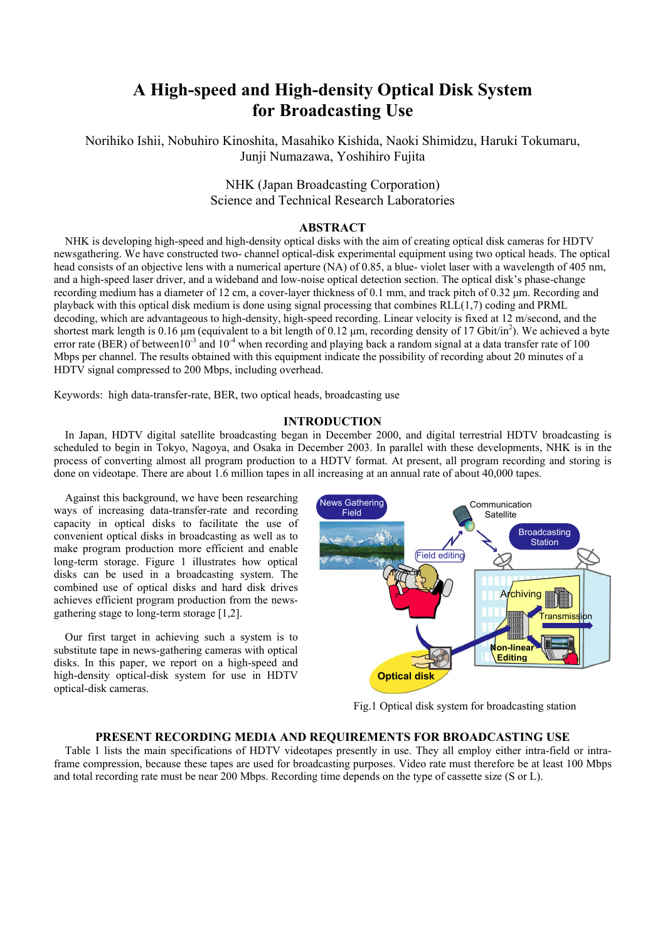# **A High-speed and High-density Optical Disk System for Broadcasting Use**

Norihiko Ishii, Nobuhiro Kinoshita, Masahiko Kishida, Naoki Shimidzu, Haruki Tokumaru, Junji Numazawa, Yoshihiro Fujita

# NHK (Japan Broadcasting Corporation) Science and Technical Research Laboratories

# **ABSTRACT**

NHK is developing high-speed and high-density optical disks with the aim of creating optical disk cameras for HDTV newsgathering. We have constructed two- channel optical-disk experimental equipment using two optical heads. The optical head consists of an objective lens with a numerical aperture (NA) of 0.85, a blue- violet laser with a wavelength of 405 nm, and a high-speed laser driver, and a wideband and low-noise optical detection section. The optical disk's phase-change recording medium has a diameter of 12 cm, a cover-layer thickness of 0.1 mm, and track pitch of 0.32 µm. Recording and playback with this optical disk medium is done using signal processing that combines RLL(1,7) coding and PRML decoding, which are advantageous to high-density, high-speed recording. Linear velocity is fixed at 12 m/second, and the shortest mark length is  $0.16 \mu m$  (equivalent to a bit length of  $0.12 \mu m$ , recording density of 17 Gbit/in<sup>2</sup>). We achieved a byte error rate (BER) of between  $10^{-3}$  and  $10^{-4}$  when recording and playing back a random signal at a data transfer rate of 100 Mbps per channel. The results obtained with this equipment indicate the possibility of recording about 20 minutes of a HDTV signal compressed to 200 Mbps, including overhead.

Keywords: high data-transfer-rate, BER, two optical heads, broadcasting use

# **INTRODUCTION**

In Japan, HDTV digital satellite broadcasting began in December 2000, and digital terrestrial HDTV broadcasting is scheduled to begin in Tokyo, Nagoya, and Osaka in December 2003. In parallel with these developments, NHK is in the process of converting almost all program production to a HDTV format. At present, all program recording and storing is done on videotape. There are about 1.6 million tapes in all increasing at an annual rate of about 40,000 tapes.

Against this background, we have been researching ways of increasing data-transfer-rate and recording capacity in optical disks to facilitate the use of convenient optical disks in broadcasting as well as to make program production more efficient and enable long-term storage. Figure 1 illustrates how optical disks can be used in a broadcasting system. The combined use of optical disks and hard disk drives achieves efficient program production from the newsgathering stage to long-term storage [1,2].

Our first target in achieving such a system is to substitute tape in news-gathering cameras with optical disks. In this paper, we report on a high-speed and high-density optical-disk system for use in HDTV optical-disk cameras.



Fig.1 Optical disk system for broadcasting station

#### **PRESENT RECORDING MEDIA AND REQUIREMENTS FOR BROADCASTING USE**

Table 1 lists the main specifications of HDTV videotapes presently in use. They all employ either intra-field or intraframe compression, because these tapes are used for broadcasting purposes. Video rate must therefore be at least 100 Mbps and total recording rate must be near 200 Mbps. Recording time depends on the type of cassette size (S or L).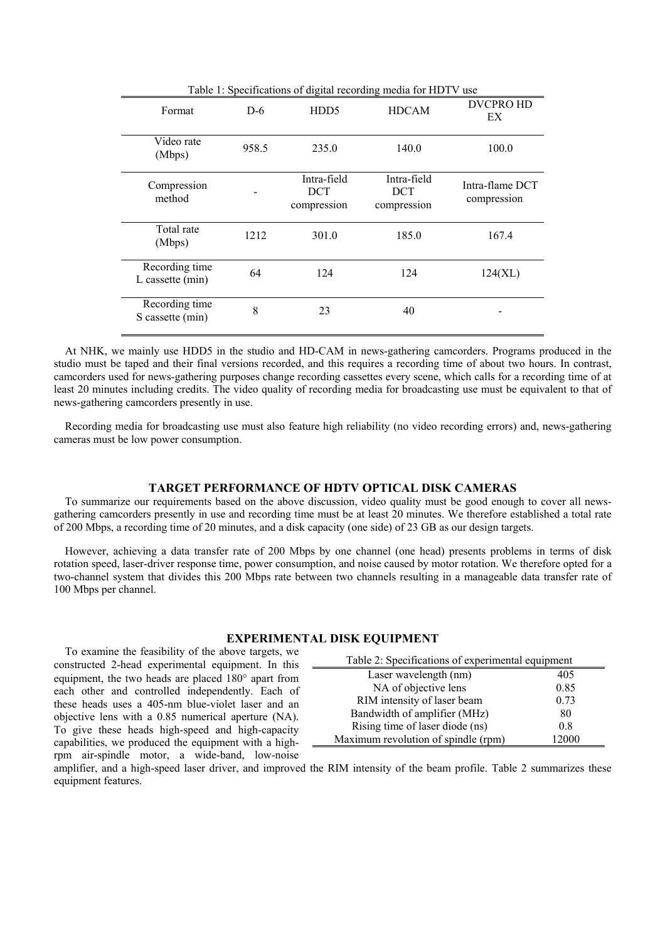| Table 1: Specifications of digital recording media for HDTV use |       |                                    |                                          |                                |
|-----------------------------------------------------------------|-------|------------------------------------|------------------------------------------|--------------------------------|
| Format                                                          | $D-6$ | HDD <sub>5</sub>                   | <b>HDCAM</b>                             | <b>DVCPRO HD</b><br>EX         |
| Video rate<br>(Mbps)                                            | 958.5 | 235.0                              | 140.0                                    | 100.0                          |
| Compression<br>method                                           |       | Intra-field<br>DCT.<br>compression | Intra-field<br><b>DCT</b><br>compression | Intra-flame DCT<br>compression |
| Total rate<br>(Mbps)                                            | 1212  | 301.0                              | 185.0                                    | 167.4                          |
| Recording time<br>L cassette (min)                              | 64    | 124                                | 124                                      | 124(XL)                        |
| Recording time<br>S cassette (min)                              | 8     | 23                                 | 40                                       |                                |

At NHK, we mainly use HDD5 in the studio and HD-CAM in news-gathering camcorders. Programs produced in the studio must be taped and their final versions recorded, and this requires a recording time of about two hours. In contrast, camcorders used for news-gathering purposes change recording cassettes every scene, which calls for a recording time of at least 20 minutes including credits. The video quality of recording media for broadcasting use must be equivalent to that of news-gathering camcorders presently in use.

Recording media for broadcasting use must also feature high reliability (no video recording errors) and, news-gathering cameras must be low power consumption.

# **TARGET PERFORMANCE OF HDTV OPTICAL DISK CAMERAS**

To summarize our requirements based on the above discussion, video quality must be good enough to cover all newsgathering camcorders presently in use and recording time must be at least 20 minutes. We therefore established a total rate of 200 Mbps, a recording time of 20 minutes, and a disk capacity (one side) of 23 GB as our design targets.

However, achieving a data transfer rate of 200 Mbps by one channel (one head) presents problems in terms of disk rotation speed, laser-driver response time, power consumption, and noise caused by motor rotation. We therefore opted for a two-channel system that divides this 200 Mbps rate between two channels resulting in a manageable data transfer rate of 100 Mbps per channel.

#### **EXPERIMENTAL DISK EQUIPMENT**

To examine the feasibility of the above targets, we constructed 2-head experimental equipment. In this equipment, the two heads are placed 180° apart from each other and controlled independently. Each of these heads uses a 405-nm blue-violet laser and an objective lens with a 0.85 numerical aperture (NA). To give these heads high-speed and high-capacity capabilities, we produced the equipment with a highrpm air-spindle motor, a wide-band, low-noise

| Table 2: Specifications of experimental equipment |       |  |  |
|---------------------------------------------------|-------|--|--|
| Laser wavelength (nm)                             | 405   |  |  |
| NA of objective lens                              | 0.85  |  |  |
| RIM intensity of laser beam                       | 0.73  |  |  |
| Bandwidth of amplifier (MHz)                      | 80    |  |  |
| Rising time of laser diode (ns)                   | 0.8   |  |  |
| Maximum revolution of spindle (rpm)               | 12000 |  |  |

amplifier, and a high-speed laser driver, and improved the RIM intensity of the beam profile. Table 2 summarizes these equipment features.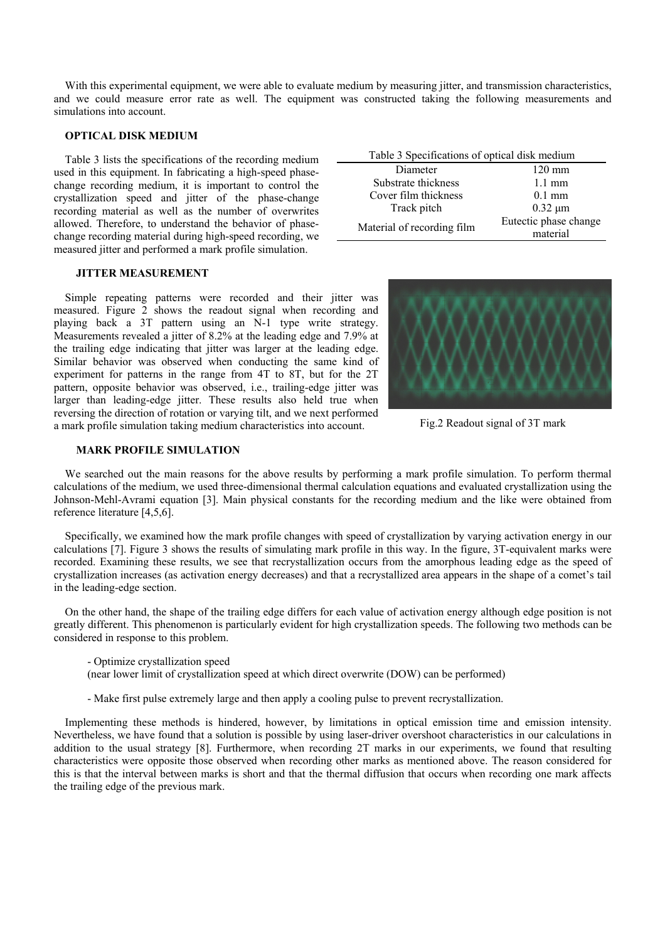With this experimental equipment, we were able to evaluate medium by measuring jitter, and transmission characteristics, and we could measure error rate as well. The equipment was constructed taking the following measurements and simulations into account.

#### **OPTICAL DISK MEDIUM**

Table 3 lists the specifications of the recording medium used in this equipment. In fabricating a high-speed phasechange recording medium, it is important to control the crystallization speed and jitter of the phase-change recording material as well as the number of overwrites allowed. Therefore, to understand the behavior of phasechange recording material during high-speed recording, we measured jitter and performed a mark profile simulation.

#### **JITTER MEASUREMENT**

Simple repeating patterns were recorded and their jitter was measured. Figure 2 shows the readout signal when recording and playing back a 3T pattern using an N-1 type write strategy. Measurements revealed a jitter of 8.2% at the leading edge and 7.9% at the trailing edge indicating that jitter was larger at the leading edge. Similar behavior was observed when conducting the same kind of experiment for patterns in the range from 4T to 8T, but for the 2T pattern, opposite behavior was observed, i.e., trailing-edge jitter was larger than leading-edge jitter. These results also held true when reversing the direction of rotation or varying tilt, and we next performed a mark profile simulation taking medium characteristics into account.

#### **MARK PROFILE SIMULATION**

Table 3 Specifications of optical disk medium Diameter 120 mm Substrate thickness 1.1 mm Cover film thickness 0.1 mm Track pitch 0.32  $\mu$ m Material of recording film Eutectic phase change material



Fig.2 Readout signal of 3T mark

We searched out the main reasons for the above results by performing a mark profile simulation. To perform thermal calculations of the medium, we used three-dimensional thermal calculation equations and evaluated crystallization using the Johnson-Mehl-Avrami equation [3]. Main physical constants for the recording medium and the like were obtained from reference literature [4,5,6].

Specifically, we examined how the mark profile changes with speed of crystallization by varying activation energy in our calculations [7]. Figure 3 shows the results of simulating mark profile in this way. In the figure, 3T-equivalent marks were recorded. Examining these results, we see that recrystallization occurs from the amorphous leading edge as the speed of crystallization increases (as activation energy decreases) and that a recrystallized area appears in the shape of a comet's tail in the leading-edge section.

On the other hand, the shape of the trailing edge differs for each value of activation energy although edge position is not greatly different. This phenomenon is particularly evident for high crystallization speeds. The following two methods can be considered in response to this problem.

- Optimize crystallization speed
- (near lower limit of crystallization speed at which direct overwrite (DOW) can be performed)
- Make first pulse extremely large and then apply a cooling pulse to prevent recrystallization.

Implementing these methods is hindered, however, by limitations in optical emission time and emission intensity. Nevertheless, we have found that a solution is possible by using laser-driver overshoot characteristics in our calculations in addition to the usual strategy [8]. Furthermore, when recording 2T marks in our experiments, we found that resulting characteristics were opposite those observed when recording other marks as mentioned above. The reason considered for this is that the interval between marks is short and that the thermal diffusion that occurs when recording one mark affects the trailing edge of the previous mark.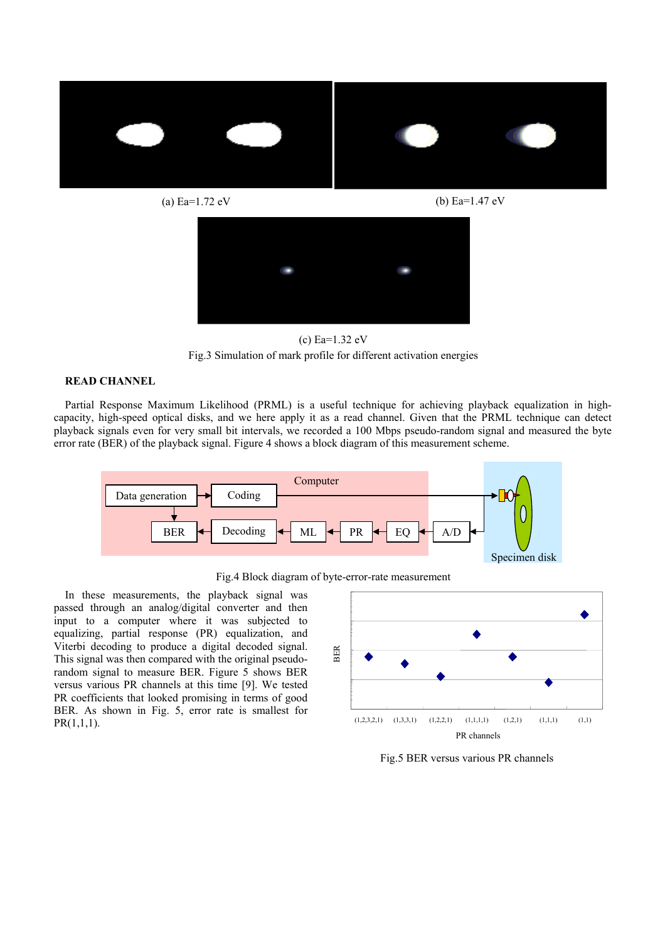



(c) Ea=1.32 eV Fig.3 Simulation of mark profile for different activation energies

### **READ CHANNEL**

Partial Response Maximum Likelihood (PRML) is a useful technique for achieving playback equalization in highcapacity, high-speed optical disks, and we here apply it as a read channel. Given that the PRML technique can detect playback signals even for very small bit intervals, we recorded a 100 Mbps pseudo-random signal and measured the byte error rate (BER) of the playback signal. Figure 4 shows a block diagram of this measurement scheme.





In these measurements, the playback signal was passed through an analog/digital converter and then input to a computer where it was subjected to equalizing, partial response (PR) equalization, and Viterbi decoding to produce a digital decoded signal. This signal was then compared with the original pseudorandom signal to measure BER. Figure 5 shows BER versus various PR channels at this time [9]. We tested PR coefficients that looked promising in terms of good BER. As shown in Fig. 5, error rate is smallest for  $PR(1,1,1)$ .



Fig.5 BER versus various PR channels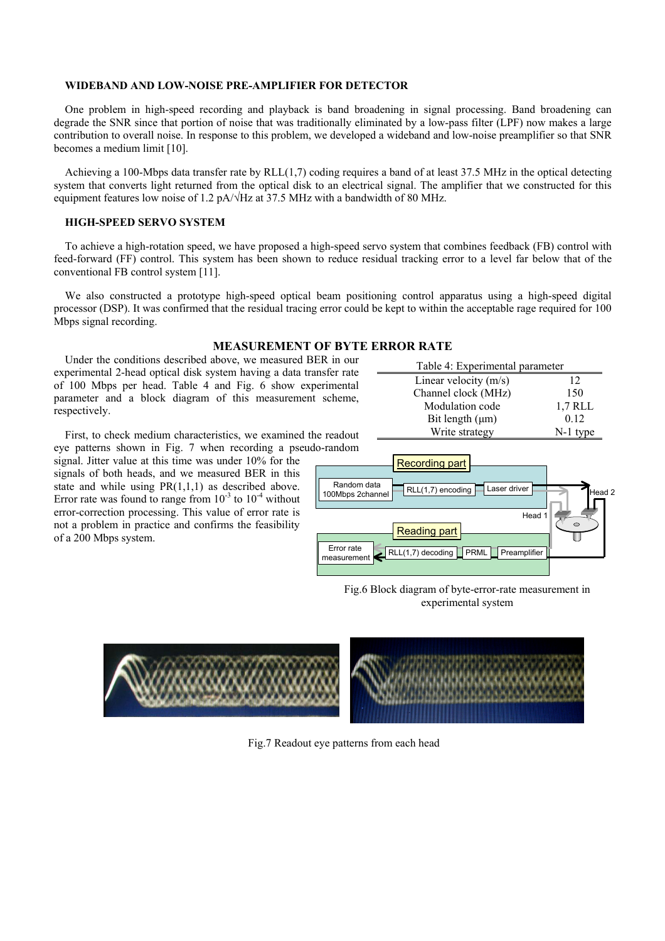#### **WIDEBAND AND LOW-NOISE PRE-AMPLIFIER FOR DETECTOR**

One problem in high-speed recording and playback is band broadening in signal processing. Band broadening can degrade the SNR since that portion of noise that was traditionally eliminated by a low-pass filter (LPF) now makes a large contribution to overall noise. In response to this problem, we developed a wideband and low-noise preamplifier so that SNR becomes a medium limit [10].

Achieving a 100-Mbps data transfer rate by RLL $(1,7)$  coding requires a band of at least 37.5 MHz in the optical detecting system that converts light returned from the optical disk to an electrical signal. The amplifier that we constructed for this equipment features low noise of 1.2 pA/√Hz at 37.5 MHz with a bandwidth of 80 MHz.

#### **HIGH-SPEED SERVO SYSTEM**

To achieve a high-rotation speed, we have proposed a high-speed servo system that combines feedback (FB) control with feed-forward (FF) control. This system has been shown to reduce residual tracking error to a level far below that of the conventional FB control system [11].

We also constructed a prototype high-speed optical beam positioning control apparatus using a high-speed digital processor (DSP). It was confirmed that the residual tracing error could be kept to within the acceptable rage required for 100 Mbps signal recording.

## **MEASUREMENT OF BYTE ERROR RATE**

Under the conditions described above, we measured BER in our experimental 2-head optical disk system having a data transfer rate of 100 Mbps per head. Table 4 and Fig. 6 show experimental parameter and a block diagram of this measurement scheme, respectively.

| Table 4: Experimental parameter |            |  |  |  |
|---------------------------------|------------|--|--|--|
| Linear velocity $(m/s)$         | 12         |  |  |  |
| Channel clock (MHz)             | 150        |  |  |  |
| Modulation code                 | 1,7 RLL    |  |  |  |
| Bit length $(\mu m)$            | 0.12       |  |  |  |
| Write strategy                  | $N-1$ type |  |  |  |

First, to check medium characteristics, we examined the readout eye patterns shown in Fig. 7 when recording a pseudo-random

signal. Jitter value at this time was under 10% for the signals of both heads, and we measured BER in this state and while using PR(1,1,1) as described above. Error rate was found to range from  $10^{-3}$  to  $10^{-4}$  without error-correction processing. This value of error rate is not a problem in practice and confirms the feasibility of a 200 Mbps system.



Fig.6 Block diagram of byte-error-rate measurement in experimental system



Fig.7 Readout eye patterns from each head